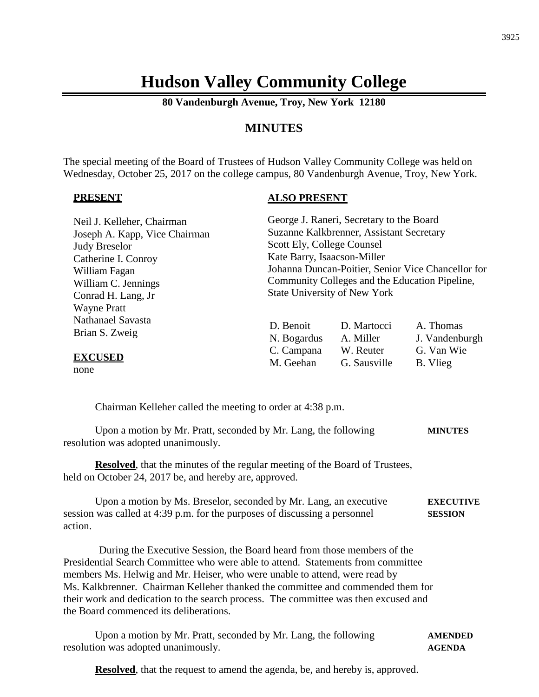# **Hudson Valley Community College**

**80 Vandenburgh Avenue, Troy, New York 12180**

### **MINUTES**

The special meeting of the Board of Trustees of Hudson Valley Community College was held on Wednesday, October 25, 2017 on the college campus, 80 Vandenburgh Avenue, Troy, New York.

#### **PRESENT**

#### **ALSO PRESENT**

| Neil J. Kelleher, Chairman          |                                                    | George J. Raneri, Secretary to the Board |                             |
|-------------------------------------|----------------------------------------------------|------------------------------------------|-----------------------------|
| Joseph A. Kapp, Vice Chairman       | Suzanne Kalkbrenner, Assistant Secretary           |                                          |                             |
| <b>Judy Breselor</b>                | Scott Ely, College Counsel                         |                                          |                             |
| Catherine I. Conroy                 | Kate Barry, Isaacson-Miller                        |                                          |                             |
| William Fagan                       | Johanna Duncan-Poitier, Senior Vice Chancellor for |                                          |                             |
| William C. Jennings                 | Community Colleges and the Education Pipeline,     |                                          |                             |
| Conrad H. Lang, Jr                  | <b>State University of New York</b>                |                                          |                             |
| <b>Wayne Pratt</b>                  |                                                    |                                          |                             |
| Nathanael Savasta<br>Brian S. Zweig | D. Benoit<br>N. Bogardus                           | D. Martocci<br>A. Miller                 | A. Thomas<br>J. Vandenburgh |
| <b>EXCUSED</b>                      | C. Campana<br>M. Geehan                            | W. Reuter<br>G. Sausville                | G. Van Wie<br>B. Vlieg      |

none

Chairman Kelleher called the meeting to order at 4:38 p.m.

| Upon a motion by Mr. Pratt, seconded by Mr. Lang, the following | <b>MINUTES</b> |
|-----------------------------------------------------------------|----------------|
| resolution was adopted unanimously.                             |                |

**Resolved**, that the minutes of the regular meeting of the Board of Trustees, held on October 24, 2017 be, and hereby are, approved.

| Upon a motion by Ms. Breselor, seconded by Mr. Lang, an executive          | <b>EXECUTIVE</b> |
|----------------------------------------------------------------------------|------------------|
| session was called at 4:39 p.m. for the purposes of discussing a personnel | <b>SESSION</b>   |
| action.                                                                    |                  |

During the Executive Session, the Board heard from those members of the Presidential Search Committee who were able to attend. Statements from committee members Ms. Helwig and Mr. Heiser, who were unable to attend, were read by Ms. Kalkbrenner. Chairman Kelleher thanked the committee and commended them for their work and dedication to the search process. The committee was then excused and the Board commenced its deliberations.

Upon a motion by Mr. Pratt, seconded by Mr. Lang, the following **AMENDED** resolution was adopted unanimously. **AGENDA**

**Resolved**, that the request to amend the agenda, be, and hereby is, approved.